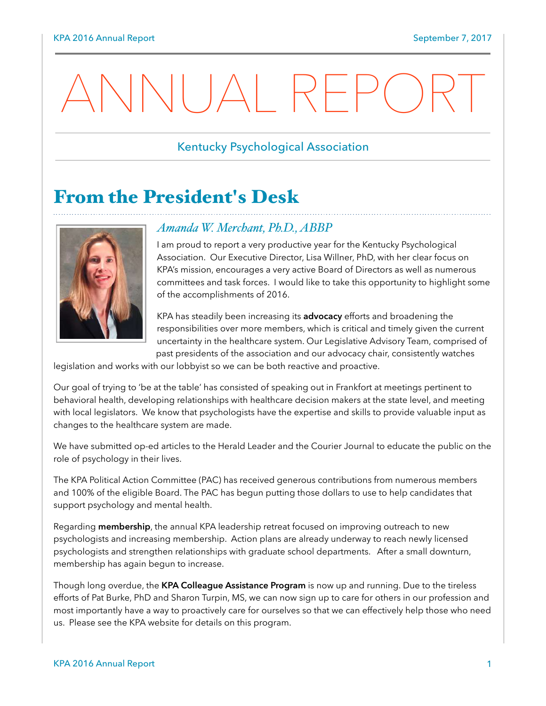# $\begin{array}{|c|c|c|c|c|}\hline \text{{\large $\bullet$}} & \text{{\large $\times$}} & \text{{\large $\times$}} & \text{{\large $\times$}} & \text{{\large $\times$}} & \text{{\large $\times$}} & \text{{\large $\times$}} & \text{{\large $\times$}} & \text{{\large $\times$}} & \text{{\large $\times$}} & \text{{\large $\times$}} & \text{{\large $\times$}} & \text{{\large $\times$}} & \text{{\large $\times$}} & \text{{\large $\times$}} & \text{{\large $\times$}} & \text{{\large $\times$}} & \text{{\large $\times$}} & \text{{\large $\times$}} & \text{{\large $\times$}} & \$

#### Kentucky Psychological Association

# From the President's Desk



#### *Amanda W. Merchant, Ph.D., ABBP*

I am proud to report a very productive year for the Kentucky Psychological Association. Our Executive Director, Lisa Willner, PhD, with her clear focus on KPA's mission, encourages a very active Board of Directors as well as numerous committees and task forces. I would like to take this opportunity to highlight some of the accomplishments of 2016.

KPA has steadily been increasing its **advocacy** efforts and broadening the responsibilities over more members, which is critical and timely given the current uncertainty in the healthcare system. Our Legislative Advisory Team, comprised of past presidents of the association and our advocacy chair, consistently watches

legislation and works with our lobbyist so we can be both reactive and proactive.

Our goal of trying to 'be at the table' has consisted of speaking out in Frankfort at meetings pertinent to behavioral health, developing relationships with healthcare decision makers at the state level, and meeting with local legislators. We know that psychologists have the expertise and skills to provide valuable input as changes to the healthcare system are made.

We have submitted op-ed articles to the Herald Leader and the Courier Journal to educate the public on the role of psychology in their lives.

The KPA Political Action Committee (PAC) has received generous contributions from numerous members and 100% of the eligible Board. The PAC has begun putting those dollars to use to help candidates that support psychology and mental health.

Regarding **membership**, the annual KPA leadership retreat focused on improving outreach to new psychologists and increasing membership. Action plans are already underway to reach newly licensed psychologists and strengthen relationships with graduate school departments. After a small downturn, membership has again begun to increase.

Though long overdue, the **KPA Colleague Assistance Program** is now up and running. Due to the tireless efforts of Pat Burke, PhD and Sharon Turpin, MS, we can now sign up to care for others in our profession and most importantly have a way to proactively care for ourselves so that we can effectively help those who need us. Please see the KPA website for details on this program.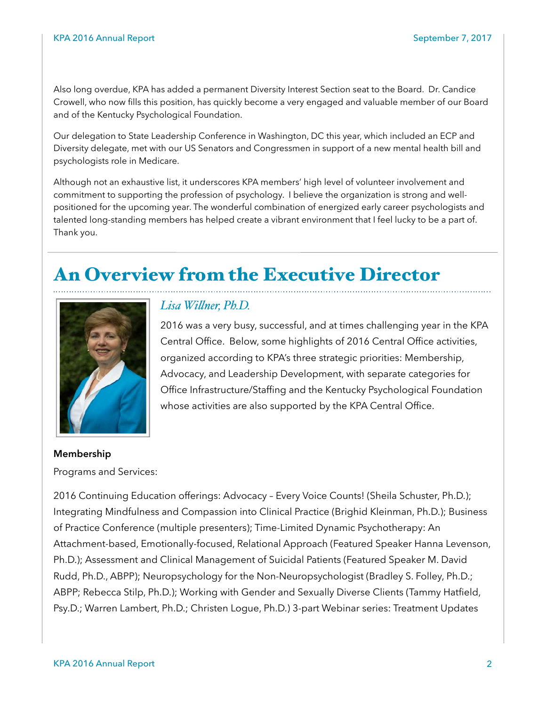Also long overdue, KPA has added a permanent Diversity Interest Section seat to the Board. Dr. Candice Crowell, who now fills this position, has quickly become a very engaged and valuable member of our Board and of the Kentucky Psychological Foundation.

Our delegation to State Leadership Conference in Washington, DC this year, which included an ECP and Diversity delegate, met with our US Senators and Congressmen in support of a new mental health bill and psychologists role in Medicare.

Although not an exhaustive list, it underscores KPA members' high level of volunteer involvement and commitment to supporting the profession of psychology. I believe the organization is strong and wellpositioned for the upcoming year. The wonderful combination of energized early career psychologists and talented long-standing members has helped create a vibrant environment that I feel lucky to be a part of. Thank you.

# An Overview from the Executive Director



#### *Lisa Wilner, Ph.D.*

2016 was a very busy, successful, and at times challenging year in the KPA Central Office. Below, some highlights of 2016 Central Office activities, organized according to KPA's three strategic priorities: Membership, Advocacy, and Leadership Development, with separate categories for Office Infrastructure/Staffing and the Kentucky Psychological Foundation whose activities are also supported by the KPA Central Office.

#### **Membership**

Programs and Services:

2016 Continuing Education offerings: Advocacy – Every Voice Counts! (Sheila Schuster, Ph.D.); Integrating Mindfulness and Compassion into Clinical Practice (Brighid Kleinman, Ph.D.); Business of Practice Conference (multiple presenters); Time-Limited Dynamic Psychotherapy: An Attachment-based, Emotionally-focused, Relational Approach (Featured Speaker Hanna Levenson, Ph.D.); Assessment and Clinical Management of Suicidal Patients (Featured Speaker M. David Rudd, Ph.D., ABPP); Neuropsychology for the Non-Neuropsychologist (Bradley S. Folley, Ph.D.; ABPP; Rebecca Stilp, Ph.D.); Working with Gender and Sexually Diverse Clients (Tammy Hatfield, Psy.D.; Warren Lambert, Ph.D.; Christen Logue, Ph.D.) 3-part Webinar series: Treatment Updates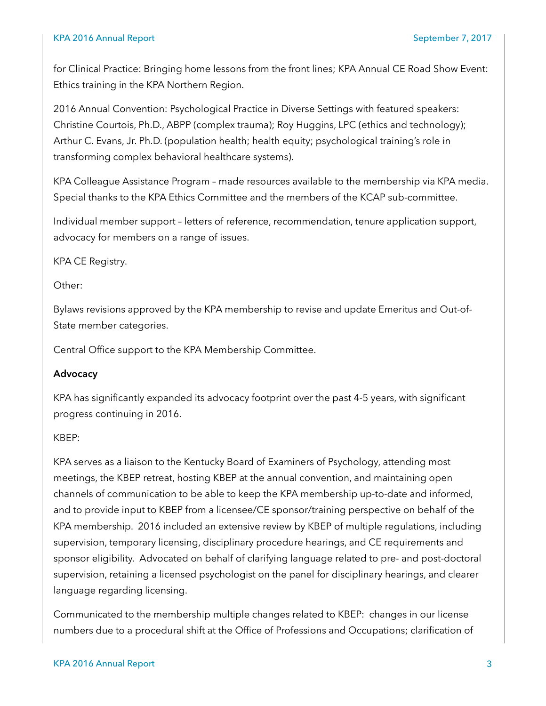#### KPA 2016 Annual Report September 7, 2017

for Clinical Practice: Bringing home lessons from the front lines; KPA Annual CE Road Show Event: Ethics training in the KPA Northern Region.

2016 Annual Convention: Psychological Practice in Diverse Settings with featured speakers: Christine Courtois, Ph.D., ABPP (complex trauma); Roy Huggins, LPC (ethics and technology); Arthur C. Evans, Jr. Ph.D. (population health; health equity; psychological training's role in transforming complex behavioral healthcare systems).

KPA Colleague Assistance Program – made resources available to the membership via KPA media. Special thanks to the KPA Ethics Committee and the members of the KCAP sub-committee.

Individual member support – letters of reference, recommendation, tenure application support, advocacy for members on a range of issues.

KPA CE Registry.

Other:

Bylaws revisions approved by the KPA membership to revise and update Emeritus and Out-of-State member categories.

Central Office support to the KPA Membership Committee.

#### **Advocacy**

KPA has significantly expanded its advocacy footprint over the past 4-5 years, with significant progress continuing in 2016.

#### KBEP:

KPA serves as a liaison to the Kentucky Board of Examiners of Psychology, attending most meetings, the KBEP retreat, hosting KBEP at the annual convention, and maintaining open channels of communication to be able to keep the KPA membership up-to-date and informed, and to provide input to KBEP from a licensee/CE sponsor/training perspective on behalf of the KPA membership. 2016 included an extensive review by KBEP of multiple regulations, including supervision, temporary licensing, disciplinary procedure hearings, and CE requirements and sponsor eligibility. Advocated on behalf of clarifying language related to pre- and post-doctoral supervision, retaining a licensed psychologist on the panel for disciplinary hearings, and clearer language regarding licensing.

Communicated to the membership multiple changes related to KBEP: changes in our license numbers due to a procedural shift at the Office of Professions and Occupations; clarification of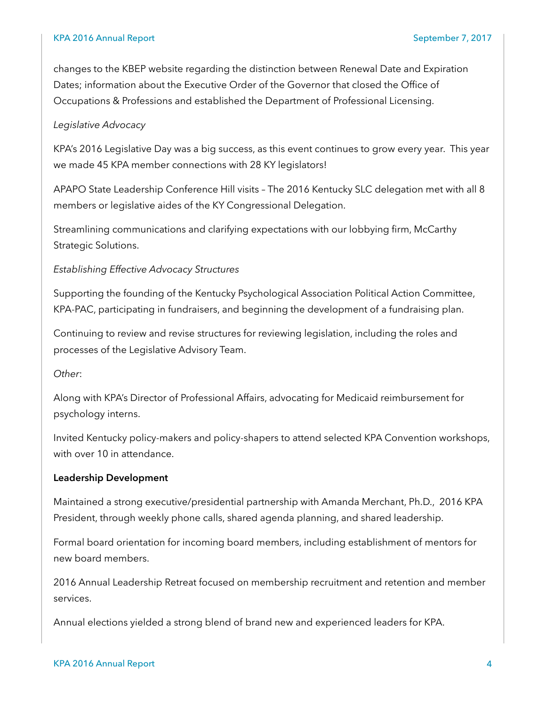changes to the KBEP website regarding the distinction between Renewal Date and Expiration Dates; information about the Executive Order of the Governor that closed the Office of Occupations & Professions and established the Department of Professional Licensing.

#### *Legislative Advocacy*

KPA's 2016 Legislative Day was a big success, as this event continues to grow every year. This year we made 45 KPA member connections with 28 KY legislators!

APAPO State Leadership Conference Hill visits – The 2016 Kentucky SLC delegation met with all 8 members or legislative aides of the KY Congressional Delegation.

Streamlining communications and clarifying expectations with our lobbying firm, McCarthy Strategic Solutions.

#### *Establishing Effective Advocacy Structures*

Supporting the founding of the Kentucky Psychological Association Political Action Committee, KPA-PAC, participating in fundraisers, and beginning the development of a fundraising plan.

Continuing to review and revise structures for reviewing legislation, including the roles and processes of the Legislative Advisory Team.

*Other*:

Along with KPA's Director of Professional Affairs, advocating for Medicaid reimbursement for psychology interns.

Invited Kentucky policy-makers and policy-shapers to attend selected KPA Convention workshops, with over 10 in attendance.

#### **Leadership Development**

Maintained a strong executive/presidential partnership with Amanda Merchant, Ph.D., 2016 KPA President, through weekly phone calls, shared agenda planning, and shared leadership.

Formal board orientation for incoming board members, including establishment of mentors for new board members.

2016 Annual Leadership Retreat focused on membership recruitment and retention and member services.

Annual elections yielded a strong blend of brand new and experienced leaders for KPA.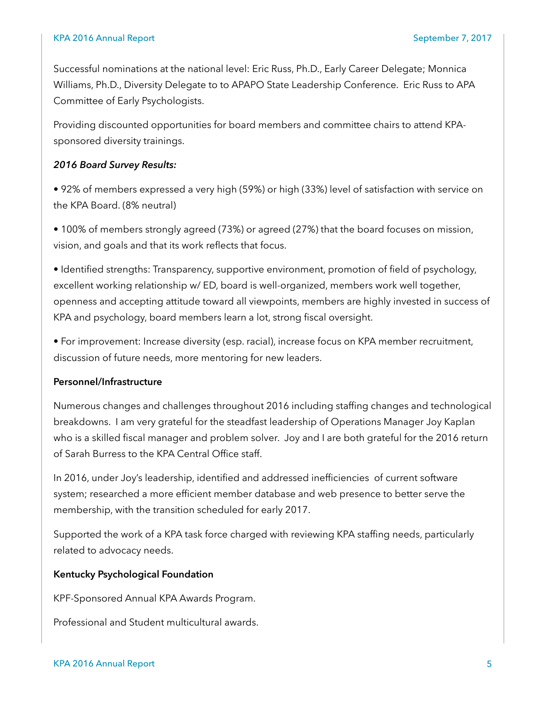Successful nominations at the national level: Eric Russ, Ph.D., Early Career Delegate; Monnica Williams, Ph.D., Diversity Delegate to to APAPO State Leadership Conference. Eric Russ to APA Committee of Early Psychologists.

Providing discounted opportunities for board members and committee chairs to attend KPAsponsored diversity trainings.

#### *2016 Board Survey Results:*

• 92% of members expressed a very high (59%) or high (33%) level of satisfaction with service on the KPA Board. (8% neutral)

• 100% of members strongly agreed (73%) or agreed (27%) that the board focuses on mission, vision, and goals and that its work reflects that focus.

• Identified strengths: Transparency, supportive environment, promotion of field of psychology, excellent working relationship w/ ED, board is well-organized, members work well together, openness and accepting attitude toward all viewpoints, members are highly invested in success of KPA and psychology, board members learn a lot, strong fiscal oversight.

• For improvement: Increase diversity (esp. racial), increase focus on KPA member recruitment, discussion of future needs, more mentoring for new leaders.

#### **Personnel/Infrastructure**

Numerous changes and challenges throughout 2016 including staffing changes and technological breakdowns. I am very grateful for the steadfast leadership of Operations Manager Joy Kaplan who is a skilled fiscal manager and problem solver. Joy and I are both grateful for the 2016 return of Sarah Burress to the KPA Central Office staff.

In 2016, under Joy's leadership, identified and addressed inefficiencies of current software system; researched a more efficient member database and web presence to better serve the membership, with the transition scheduled for early 2017.

Supported the work of a KPA task force charged with reviewing KPA staffing needs, particularly related to advocacy needs.

#### **Kentucky Psychological Foundation**

KPF-Sponsored Annual KPA Awards Program.

Professional and Student multicultural awards.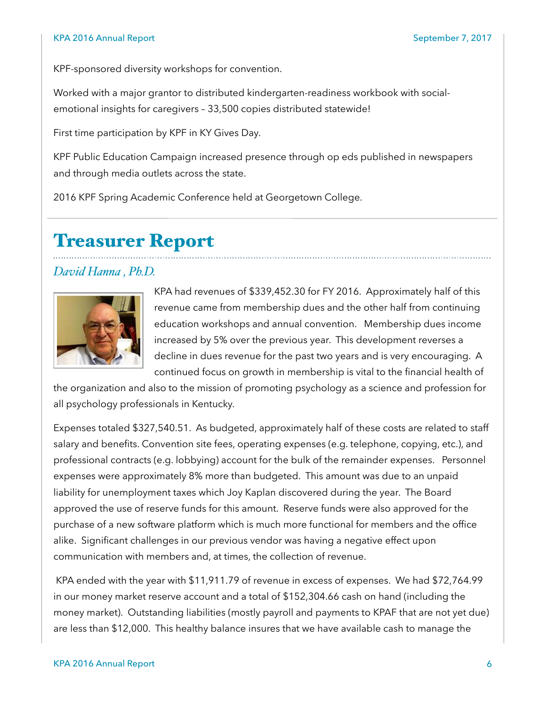#### KPA 2016 Annual Report September 7, 2017

KPF-sponsored diversity workshops for convention.

Worked with a major grantor to distributed kindergarten-readiness workbook with socialemotional insights for caregivers – 33,500 copies distributed statewide!

First time participation by KPF in KY Gives Day.

KPF Public Education Campaign increased presence through op eds published in newspapers and through media outlets across the state.

2016 KPF Spring Academic Conference held at Georgetown College.

# Treasurer Report

#### *David Hanna , Ph.D.*



KPA had revenues of \$339,452.30 for FY 2016. Approximately half of this revenue came from membership dues and the other half from continuing education workshops and annual convention. Membership dues income increased by 5% over the previous year. This development reverses a decline in dues revenue for the past two years and is very encouraging. A continued focus on growth in membership is vital to the financial health of

the organization and also to the mission of promoting psychology as a science and profession for all psychology professionals in Kentucky.

Expenses totaled \$327,540.51. As budgeted, approximately half of these costs are related to staff salary and benefits. Convention site fees, operating expenses (e.g. telephone, copying, etc.), and professional contracts (e.g. lobbying) account for the bulk of the remainder expenses. Personnel expenses were approximately 8% more than budgeted. This amount was due to an unpaid liability for unemployment taxes which Joy Kaplan discovered during the year. The Board approved the use of reserve funds for this amount. Reserve funds were also approved for the purchase of a new software platform which is much more functional for members and the office alike. Significant challenges in our previous vendor was having a negative effect upon communication with members and, at times, the collection of revenue.

 KPA ended with the year with \$11,911.79 of revenue in excess of expenses. We had \$72,764.99 in our money market reserve account and a total of \$152,304.66 cash on hand (including the money market). Outstanding liabilities (mostly payroll and payments to KPAF that are not yet due) are less than \$12,000. This healthy balance insures that we have available cash to manage the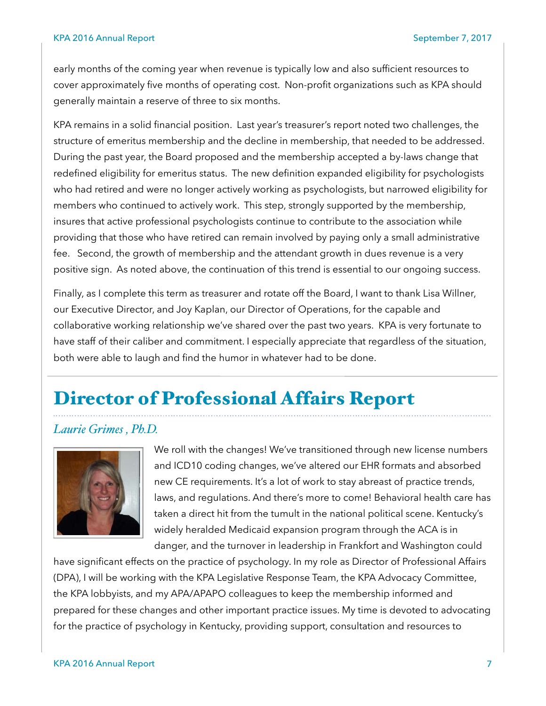early months of the coming year when revenue is typically low and also sufficient resources to cover approximately five months of operating cost. Non-profit organizations such as KPA should generally maintain a reserve of three to six months.

KPA remains in a solid financial position. Last year's treasurer's report noted two challenges, the structure of emeritus membership and the decline in membership, that needed to be addressed. During the past year, the Board proposed and the membership accepted a by-laws change that redefined eligibility for emeritus status. The new definition expanded eligibility for psychologists who had retired and were no longer actively working as psychologists, but narrowed eligibility for members who continued to actively work. This step, strongly supported by the membership, insures that active professional psychologists continue to contribute to the association while providing that those who have retired can remain involved by paying only a small administrative fee. Second, the growth of membership and the attendant growth in dues revenue is a very positive sign. As noted above, the continuation of this trend is essential to our ongoing success.

Finally, as I complete this term as treasurer and rotate off the Board, I want to thank Lisa Willner, our Executive Director, and Joy Kaplan, our Director of Operations, for the capable and collaborative working relationship we've shared over the past two years. KPA is very fortunate to have staff of their caliber and commitment. I especially appreciate that regardless of the situation, both were able to laugh and find the humor in whatever had to be done.

# Director of Professional Affairs Report

#### *Laurie Grimes , Ph.D.*



We roll with the changes! We've transitioned through new license numbers and ICD10 coding changes, we've altered our EHR formats and absorbed new CE requirements. It's a lot of work to stay abreast of practice trends, laws, and regulations. And there's more to come! Behavioral health care has taken a direct hit from the tumult in the national political scene. Kentucky's widely heralded Medicaid expansion program through the ACA is in danger, and the turnover in leadership in Frankfort and Washington could

have significant effects on the practice of psychology. In my role as Director of Professional Affairs (DPA), I will be working with the KPA Legislative Response Team, the KPA Advocacy Committee, the KPA lobbyists, and my APA/APAPO colleagues to keep the membership informed and prepared for these changes and other important practice issues. My time is devoted to advocating for the practice of psychology in Kentucky, providing support, consultation and resources to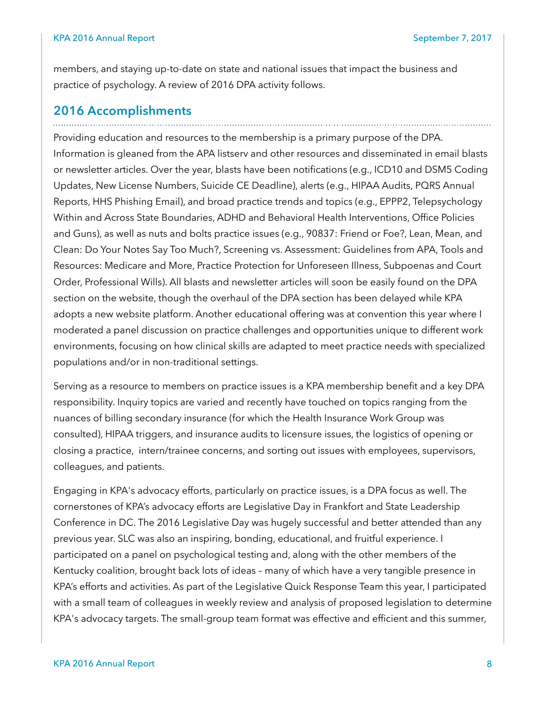members, and staying up-to-date on state and national issues that impact the business and practice of psychology. A review of 2016 DPA activity follows.

#### **2016 Accomplishments**

Providing education and resources to the membership is a primary purpose of the DPA. Information is gleaned from the APA listserv and other resources and disseminated in email blasts or newsletter articles. Over the year, blasts have been notifications (e.g., ICD10 and DSM5 Coding Updates, New License Numbers, Suicide CE Deadline), alerts (e.g., HIPAA Audits, PQRS Annual Reports, HHS Phishing Email), and broad practice trends and topics (e.g., EPPP2, Telepsychology Within and Across State Boundaries, ADHD and Behavioral Health Interventions, Office Policies and Guns), as well as nuts and bolts practice issues (e.g., 90837: Friend or Foe?, Lean, Mean, and Clean: Do Your Notes Say Too Much?, Screening vs. Assessment: Guidelines from APA, Tools and Resources: Medicare and More, Practice Protection for Unforeseen Illness, Subpoenas and Court Order, Professional Wills). All blasts and newsletter articles will soon be easily found on the DPA section on the website, though the overhaul of the DPA section has been delayed while KPA adopts a new website platform. Another educational offering was at convention this year where I moderated a panel discussion on practice challenges and opportunities unique to different work environments, focusing on how clinical skills are adapted to meet practice needs with specialized populations and/or in non-traditional settings.

Serving as a resource to members on practice issues is a KPA membership benefit and a key DPA responsibility. Inquiry topics are varied and recently have touched on topics ranging from the nuances of billing secondary insurance (for which the Health Insurance Work Group was consulted), HIPAA triggers, and insurance audits to licensure issues, the logistics of opening or closing a practice, intern/trainee concerns, and sorting out issues with employees, supervisors, colleagues, and patients.

Engaging in KPA's advocacy efforts, particularly on practice issues, is a DPA focus as well. The cornerstones of KPA's advocacy efforts are Legislative Day in Frankfort and State Leadership Conference in DC. The 2016 Legislative Day was hugely successful and better attended than any previous year. SLC was also an inspiring, bonding, educational, and fruitful experience. I participated on a panel on psychological testing and, along with the other members of the Kentucky coalition, brought back lots of ideas – many of which have a very tangible presence in KPA's efforts and activities. As part of the Legislative Quick Response Team this year, I participated with a small team of colleagues in weekly review and analysis of proposed legislation to determine KPA's advocacy targets. The small-group team format was effective and efficient and this summer,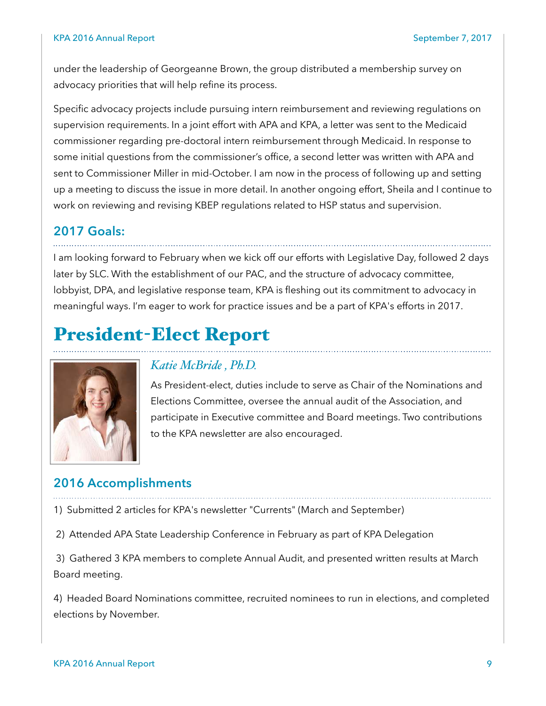under the leadership of Georgeanne Brown, the group distributed a membership survey on advocacy priorities that will help refine its process.

Specific advocacy projects include pursuing intern reimbursement and reviewing regulations on supervision requirements. In a joint effort with APA and KPA, a letter was sent to the Medicaid commissioner regarding pre-doctoral intern reimbursement through Medicaid. In response to some initial questions from the commissioner's office, a second letter was written with APA and sent to Commissioner Miller in mid-October. I am now in the process of following up and setting up a meeting to discuss the issue in more detail. In another ongoing effort, Sheila and I continue to work on reviewing and revising KBEP regulations related to HSP status and supervision.

## **2017 Goals:**

I am looking forward to February when we kick off our efforts with Legislative Day, followed 2 days later by SLC. With the establishment of our PAC, and the structure of advocacy committee, lobbyist, DPA, and legislative response team, KPA is fleshing out its commitment to advocacy in meaningful ways. I'm eager to work for practice issues and be a part of KPA's efforts in 2017.

# President-Elect Report



#### *Katie McBride , Ph.D.*

As President-elect, duties include to serve as Chair of the Nominations and Elections Committee, oversee the annual audit of the Association, and participate in Executive committee and Board meetings. Two contributions to the KPA newsletter are also encouraged.

# **2016 Accomplishments**

1) Submitted 2 articles for KPA's newsletter "Currents" (March and September)

2) Attended APA State Leadership Conference in February as part of KPA Delegation

 3) Gathered 3 KPA members to complete Annual Audit, and presented written results at March Board meeting.

4) Headed Board Nominations committee, recruited nominees to run in elections, and completed elections by November.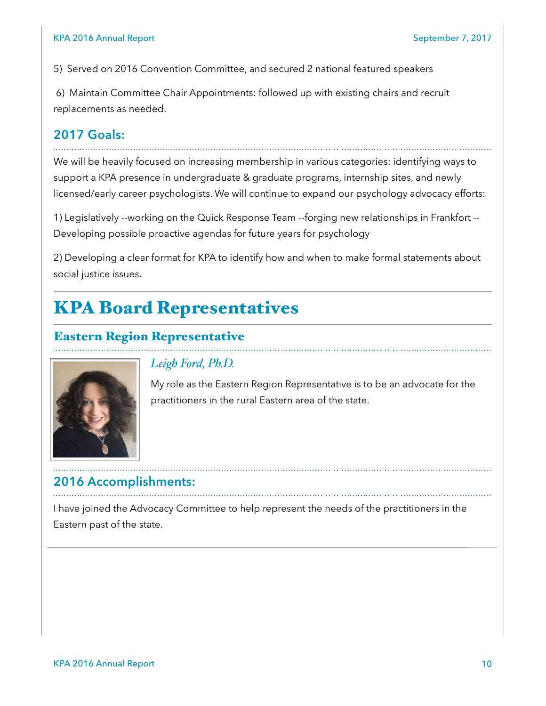5) Served on 2016 Convention Committee, and secured 2 national featured speakers

 6) Maintain Committee Chair Appointments: followed up with existing chairs and recruit replacements as needed.

#### **2017 Goals:**

We will be heavily focused on increasing membership in various categories: identifying ways to support a KPA presence in undergraduate & graduate programs, internship sites, and newly licensed/early career psychologists. We will continue to expand our psychology advocacy efforts:

1) Legislatively --working on the Quick Response Team --forging new relationships in Frankfort -- Developing possible proactive agendas for future years for psychology

2) Developing a clear format for KPA to identify how and when to make formal statements about social justice issues.

# KPA Board Representatives

#### Eastern Region Representative



#### *Leigh Ford, Ph.D.*

My role as the Eastern Region Representative is to be an advocate for the practitioners in the rural Eastern area of the state.

# **2016 Accomplishments:**

I have joined the Advocacy Committee to help represent the needs of the practitioners in the Eastern past of the state.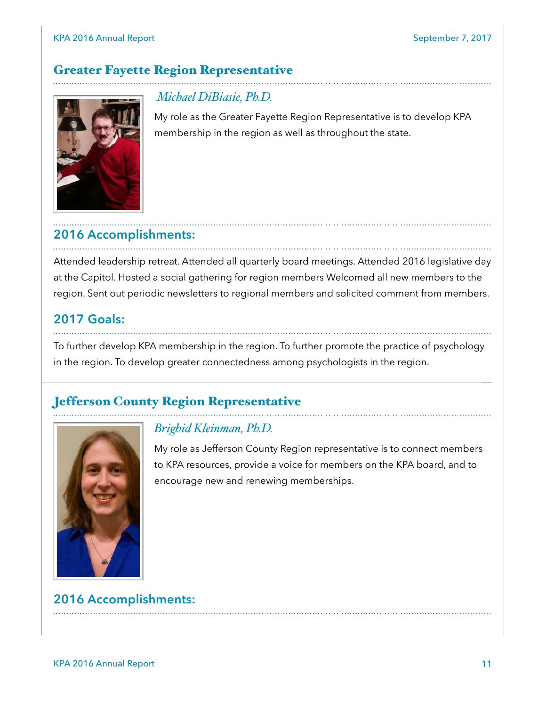# Greater Fayette Region Representative



 *Michael DiBiasie, Ph.D.* 

My role as the Greater Fayette Region Representative is to develop KPA membership in the region as well as throughout the state.

# **2016 Accomplishments:**

Attended leadership retreat. Attended all quarterly board meetings. Attended 2016 legislative day at the Capitol. Hosted a social gathering for region members Welcomed all new members to the region. Sent out periodic newsletters to regional members and solicited comment from members.

## **2017 Goals:**

To further develop KPA membership in the region. To further promote the practice of psychology in the region. To develop greater connectedness among psychologists in the region.

#### Jefferson County Region Representative



#### *Brighid Kleinman, Ph.D.*

My role as Jefferson County Region representative is to connect members to KPA resources, provide a voice for members on the KPA board, and to encourage new and renewing memberships.

# **2016 Accomplishments:**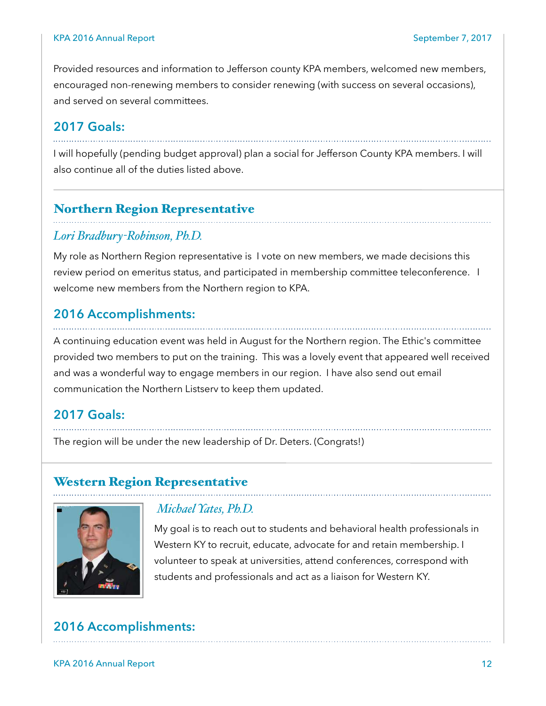Provided resources and information to Jefferson county KPA members, welcomed new members, encouraged non-renewing members to consider renewing (with success on several occasions), and served on several committees.

#### **2017 Goals:**

I will hopefully (pending budget approval) plan a social for Jefferson County KPA members. I will also continue all of the duties listed above.

#### Northern Region Representative

#### *Lori Bradbury-Robinson, Ph.D.*

My role as Northern Region representative is I vote on new members, we made decisions this review period on emeritus status, and participated in membership committee teleconference. I welcome new members from the Northern region to KPA.

#### **2016 Accomplishments:**

A continuing education event was held in August for the Northern region. The Ethic's committee provided two members to put on the training. This was a lovely event that appeared well received and was a wonderful way to engage members in our region. I have also send out email communication the Northern Listserv to keep them updated.

#### **2017 Goals:**

The region will be under the new leadership of Dr. Deters. (Congrats!)

#### Western Region Representative



#### *Michael Yates, Ph.D.*

My goal is to reach out to students and behavioral health professionals in Western KY to recruit, educate, advocate for and retain membership. I volunteer to speak at universities, attend conferences, correspond with students and professionals and act as a liaison for Western KY.

#### **2016 Accomplishments:**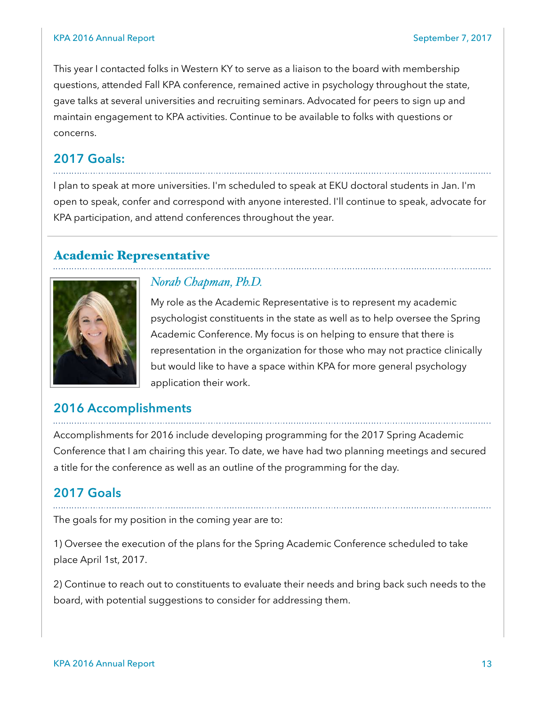#### KPA 2016 Annual Report September 7, 2017

This year I contacted folks in Western KY to serve as a liaison to the board with membership questions, attended Fall KPA conference, remained active in psychology throughout the state, gave talks at several universities and recruiting seminars. Advocated for peers to sign up and maintain engagement to KPA activities. Continue to be available to folks with questions or concerns.

#### **2017 Goals:**

I plan to speak at more universities. I'm scheduled to speak at EKU doctoral students in Jan. I'm open to speak, confer and correspond with anyone interested. I'll continue to speak, advocate for KPA participation, and attend conferences throughout the year.

#### Academic Representative



#### *Norah Chapman, Ph.D.*

My role as the Academic Representative is to represent my academic psychologist constituents in the state as well as to help oversee the Spring Academic Conference. My focus is on helping to ensure that there is representation in the organization for those who may not practice clinically but would like to have a space within KPA for more general psychology application their work.

#### **2016 Accomplishments**

Accomplishments for 2016 include developing programming for the 2017 Spring Academic Conference that I am chairing this year. To date, we have had two planning meetings and secured a title for the conference as well as an outline of the programming for the day.

#### **2017 Goals**

The goals for my position in the coming year are to:

1) Oversee the execution of the plans for the Spring Academic Conference scheduled to take place April 1st, 2017.

2) Continue to reach out to constituents to evaluate their needs and bring back such needs to the board, with potential suggestions to consider for addressing them.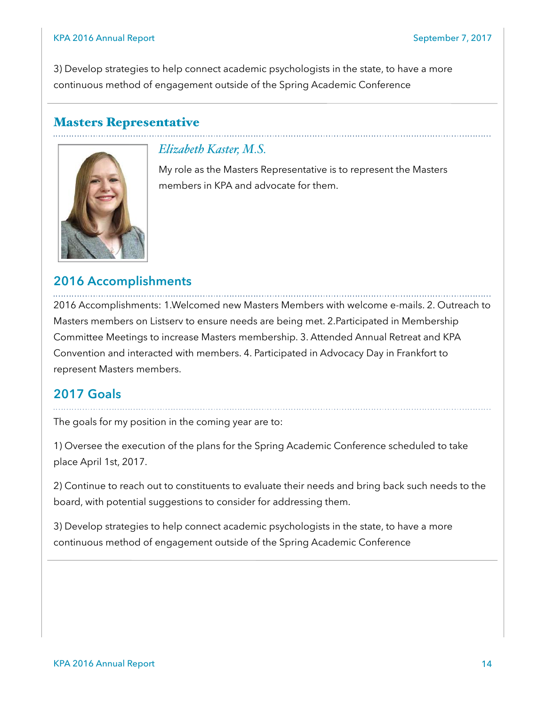3) Develop strategies to help connect academic psychologists in the state, to have a more continuous method of engagement outside of the Spring Academic Conference

#### Masters Representative



#### *Elizabeth Kaster, M.S.*

My role as the Masters Representative is to represent the Masters members in KPA and advocate for them.

## **2016 Accomplishments**

2016 Accomplishments: 1.Welcomed new Masters Members with welcome e-mails. 2. Outreach to Masters members on Listserv to ensure needs are being met. 2.Participated in Membership Committee Meetings to increase Masters membership. 3. Attended Annual Retreat and KPA Convention and interacted with members. 4. Participated in Advocacy Day in Frankfort to represent Masters members.

#### **2017 Goals**

The goals for my position in the coming year are to:

1) Oversee the execution of the plans for the Spring Academic Conference scheduled to take place April 1st, 2017.

2) Continue to reach out to constituents to evaluate their needs and bring back such needs to the board, with potential suggestions to consider for addressing them.

3) Develop strategies to help connect academic psychologists in the state, to have a more continuous method of engagement outside of the Spring Academic Conference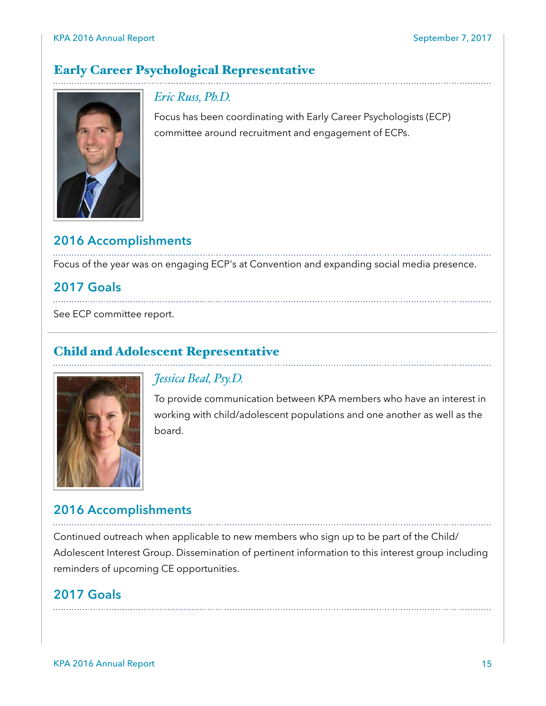# Early Career Psychological Representative



#### *Eric Russ, Ph.D.*

Focus has been coordinating with Early Career Psychologists (ECP) committee around recruitment and engagement of ECPs.

# **2016 Accomplishments**

Focus of the year was on engaging ECP's at Convention and expanding social media presence.

# **2017 Goals**

See ECP committee report.

## Child and Adolescent Representative



#### *Jessica Beal, Psy.D.*

To provide communication between KPA members who have an interest in working with child/adolescent populations and one another as well as the board.

#### **2016 Accomplishments**

Continued outreach when applicable to new members who sign up to be part of the Child/ Adolescent Interest Group. Dissemination of pertinent information to this interest group including reminders of upcoming CE opportunities.

#### **2017 Goals**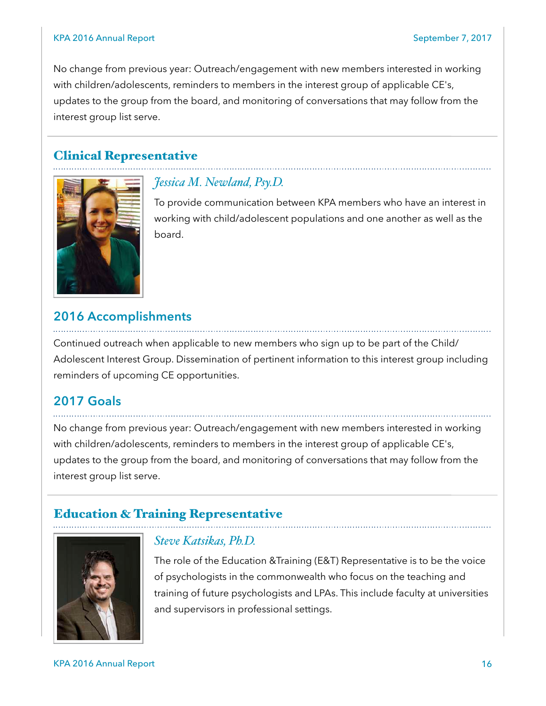No change from previous year: Outreach/engagement with new members interested in working with children/adolescents, reminders to members in the interest group of applicable CE's, updates to the group from the board, and monitoring of conversations that may follow from the interest group list serve.

#### Clinical Representative



#### *Jessica M. Newland, Psy.D.*

To provide communication between KPA members who have an interest in working with child/adolescent populations and one another as well as the board.

#### **2016 Accomplishments**

Continued outreach when applicable to new members who sign up to be part of the Child/ Adolescent Interest Group. Dissemination of pertinent information to this interest group including reminders of upcoming CE opportunities.

#### **2017 Goals**

No change from previous year: Outreach/engagement with new members interested in working with children/adolescents, reminders to members in the interest group of applicable CE's, updates to the group from the board, and monitoring of conversations that may follow from the interest group list serve.

#### Education & Training Representative



#### *Steve Katsikas, Ph.D.*

The role of the Education &Training (E&T) Representative is to be the voice of psychologists in the commonwealth who focus on the teaching and training of future psychologists and LPAs. This include faculty at universities and supervisors in professional settings.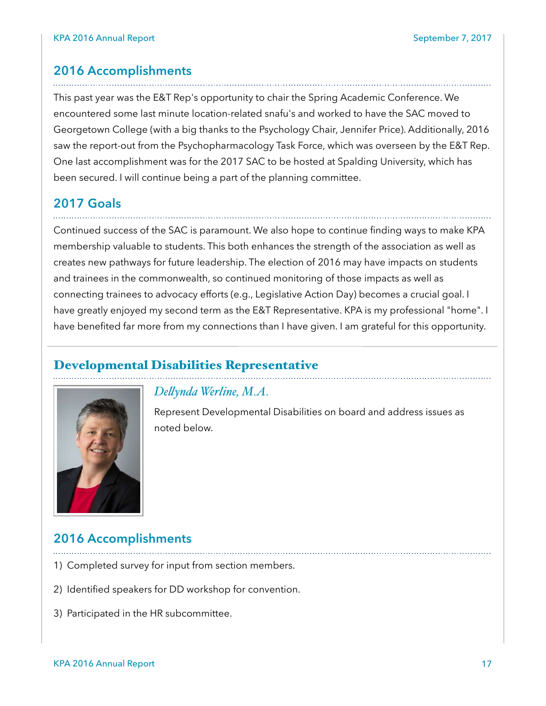# **2016 Accomplishments**

This past year was the E&T Rep's opportunity to chair the Spring Academic Conference. We encountered some last minute location-related snafu's and worked to have the SAC moved to Georgetown College (with a big thanks to the Psychology Chair, Jennifer Price). Additionally, 2016 saw the report-out from the Psychopharmacology Task Force, which was overseen by the E&T Rep. One last accomplishment was for the 2017 SAC to be hosted at Spalding University, which has been secured. I will continue being a part of the planning committee.

#### **2017 Goals**

Continued success of the SAC is paramount. We also hope to continue finding ways to make KPA membership valuable to students. This both enhances the strength of the association as well as creates new pathways for future leadership. The election of 2016 may have impacts on students and trainees in the commonwealth, so continued monitoring of those impacts as well as connecting trainees to advocacy efforts (e.g., Legislative Action Day) becomes a crucial goal. I have greatly enjoyed my second term as the E&T Representative. KPA is my professional "home". I have benefited far more from my connections than I have given. I am grateful for this opportunity.

#### Developmental Disabilities Representative



#### *Delynda Werline, M.A.*

Represent Developmental Disabilities on board and address issues as noted below.

#### **2016 Accomplishments**

- 1) Completed survey for input from section members.
- 2) Identified speakers for DD workshop for convention.
- 3) Participated in the HR subcommittee.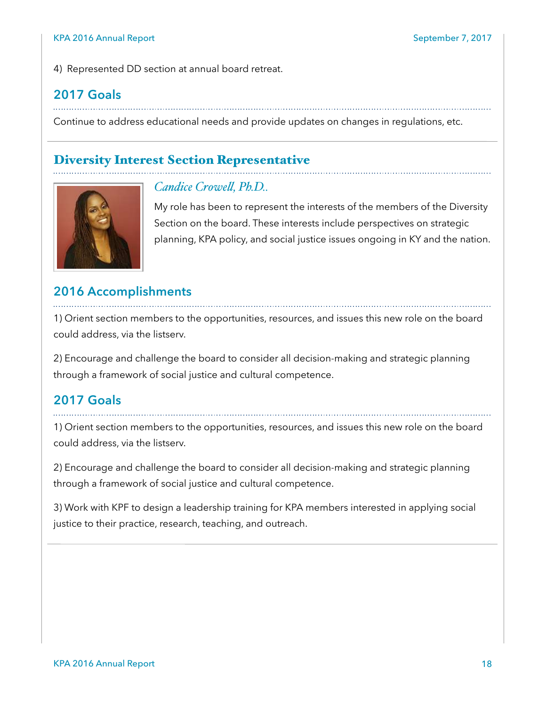4) Represented DD section at annual board retreat.

# **2017 Goals**

Continue to address educational needs and provide updates on changes in regulations, etc.

#### Diversity Interest Section Representative



#### *Candice Crowel, Ph.D..*

My role has been to represent the interests of the members of the Diversity Section on the board. These interests include perspectives on strategic planning, KPA policy, and social justice issues ongoing in KY and the nation.

#### **2016 Accomplishments**

1) Orient section members to the opportunities, resources, and issues this new role on the board could address, via the listserv.

2) Encourage and challenge the board to consider all decision-making and strategic planning through a framework of social justice and cultural competence.

#### **2017 Goals**

1) Orient section members to the opportunities, resources, and issues this new role on the board could address, via the listserv.

2) Encourage and challenge the board to consider all decision-making and strategic planning through a framework of social justice and cultural competence.

3) Work with KPF to design a leadership training for KPA members interested in applying social justice to their practice, research, teaching, and outreach.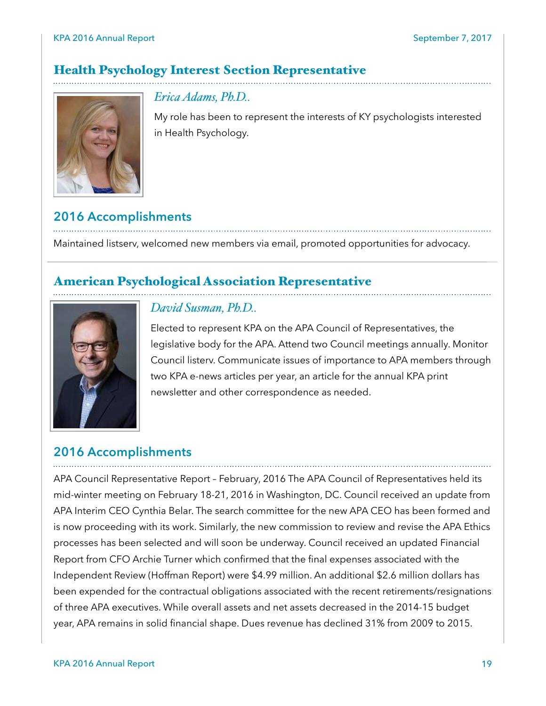## Health Psychology Interest Section Representative



*Erica Adams, Ph.D..* 

My role has been to represent the interests of KY psychologists interested in Health Psychology.

# **2016 Accomplishments**

Maintained listserv, welcomed new members via email, promoted opportunities for advocacy.

#### American Psychological Association Representative



#### *David Susman, Ph.D..*

Elected to represent KPA on the APA Council of Representatives, the legislative body for the APA. Attend two Council meetings annually. Monitor Council listerv. Communicate issues of importance to APA members through two KPA e-news articles per year, an article for the annual KPA print newsletter and other correspondence as needed.

#### **2016 Accomplishments**

APA Council Representative Report – February, 2016 The APA Council of Representatives held its mid-winter meeting on February 18-21, 2016 in Washington, DC. Council received an update from APA Interim CEO Cynthia Belar. The search committee for the new APA CEO has been formed and is now proceeding with its work. Similarly, the new commission to review and revise the APA Ethics processes has been selected and will soon be underway. Council received an updated Financial Report from CFO Archie Turner which confirmed that the final expenses associated with the Independent Review (Hoffman Report) were \$4.99 million. An additional \$2.6 million dollars has been expended for the contractual obligations associated with the recent retirements/resignations of three APA executives. While overall assets and net assets decreased in the 2014-15 budget year, APA remains in solid financial shape. Dues revenue has declined 31% from 2009 to 2015.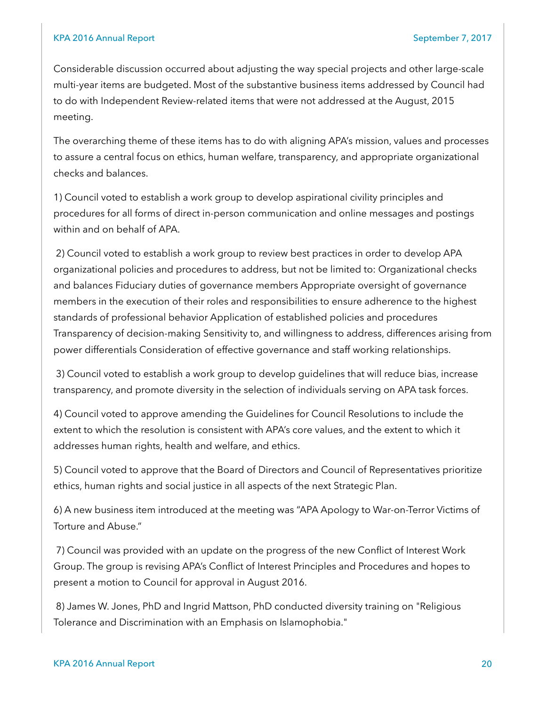Considerable discussion occurred about adjusting the way special projects and other large-scale multi-year items are budgeted. Most of the substantive business items addressed by Council had to do with Independent Review-related items that were not addressed at the August, 2015 meeting.

The overarching theme of these items has to do with aligning APA's mission, values and processes to assure a central focus on ethics, human welfare, transparency, and appropriate organizational checks and balances.

1) Council voted to establish a work group to develop aspirational civility principles and procedures for all forms of direct in-person communication and online messages and postings within and on behalf of APA.

 2) Council voted to establish a work group to review best practices in order to develop APA organizational policies and procedures to address, but not be limited to: Organizational checks and balances Fiduciary duties of governance members Appropriate oversight of governance members in the execution of their roles and responsibilities to ensure adherence to the highest standards of professional behavior Application of established policies and procedures Transparency of decision-making Sensitivity to, and willingness to address, differences arising from power differentials Consideration of effective governance and staff working relationships.

 3) Council voted to establish a work group to develop guidelines that will reduce bias, increase transparency, and promote diversity in the selection of individuals serving on APA task forces.

4) Council voted to approve amending the Guidelines for Council Resolutions to include the extent to which the resolution is consistent with APA's core values, and the extent to which it addresses human rights, health and welfare, and ethics.

5) Council voted to approve that the Board of Directors and Council of Representatives prioritize ethics, human rights and social justice in all aspects of the next Strategic Plan.

6) A new business item introduced at the meeting was "APA Apology to War-on-Terror Victims of Torture and Abuse."

 7) Council was provided with an update on the progress of the new Conflict of Interest Work Group. The group is revising APA's Conflict of Interest Principles and Procedures and hopes to present a motion to Council for approval in August 2016.

 8) James W. Jones, PhD and Ingrid Mattson, PhD conducted diversity training on "Religious Tolerance and Discrimination with an Emphasis on Islamophobia."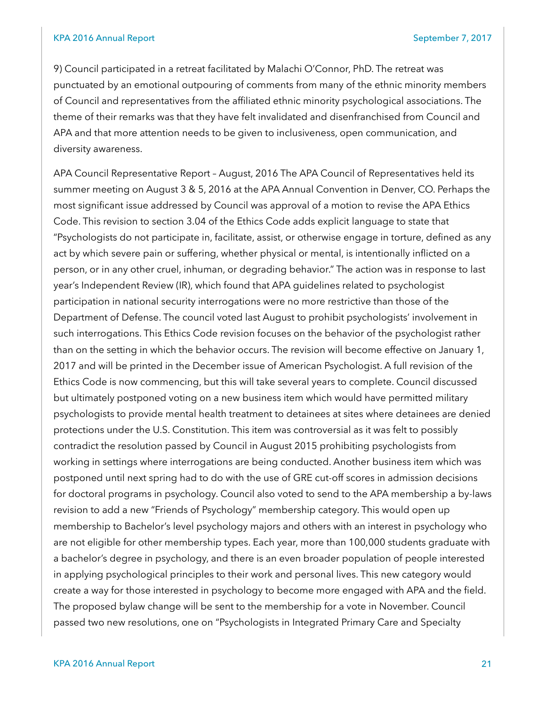9) Council participated in a retreat facilitated by Malachi O'Connor, PhD. The retreat was punctuated by an emotional outpouring of comments from many of the ethnic minority members of Council and representatives from the affiliated ethnic minority psychological associations. The theme of their remarks was that they have felt invalidated and disenfranchised from Council and APA and that more attention needs to be given to inclusiveness, open communication, and diversity awareness.

APA Council Representative Report – August, 2016 The APA Council of Representatives held its summer meeting on August 3 & 5, 2016 at the APA Annual Convention in Denver, CO. Perhaps the most significant issue addressed by Council was approval of a motion to revise the APA Ethics Code. This revision to section 3.04 of the Ethics Code adds explicit language to state that "Psychologists do not participate in, facilitate, assist, or otherwise engage in torture, defined as any act by which severe pain or suffering, whether physical or mental, is intentionally inflicted on a person, or in any other cruel, inhuman, or degrading behavior." The action was in response to last year's Independent Review (IR), which found that APA guidelines related to psychologist participation in national security interrogations were no more restrictive than those of the Department of Defense. The council voted last August to prohibit psychologists' involvement in such interrogations. This Ethics Code revision focuses on the behavior of the psychologist rather than on the setting in which the behavior occurs. The revision will become effective on January 1, 2017 and will be printed in the December issue of American Psychologist. A full revision of the Ethics Code is now commencing, but this will take several years to complete. Council discussed but ultimately postponed voting on a new business item which would have permitted military psychologists to provide mental health treatment to detainees at sites where detainees are denied protections under the U.S. Constitution. This item was controversial as it was felt to possibly contradict the resolution passed by Council in August 2015 prohibiting psychologists from working in settings where interrogations are being conducted. Another business item which was postponed until next spring had to do with the use of GRE cut-off scores in admission decisions for doctoral programs in psychology. Council also voted to send to the APA membership a by-laws revision to add a new "Friends of Psychology" membership category. This would open up membership to Bachelor's level psychology majors and others with an interest in psychology who are not eligible for other membership types. Each year, more than 100,000 students graduate with a bachelor's degree in psychology, and there is an even broader population of people interested in applying psychological principles to their work and personal lives. This new category would create a way for those interested in psychology to become more engaged with APA and the field. The proposed bylaw change will be sent to the membership for a vote in November. Council passed two new resolutions, one on "Psychologists in Integrated Primary Care and Specialty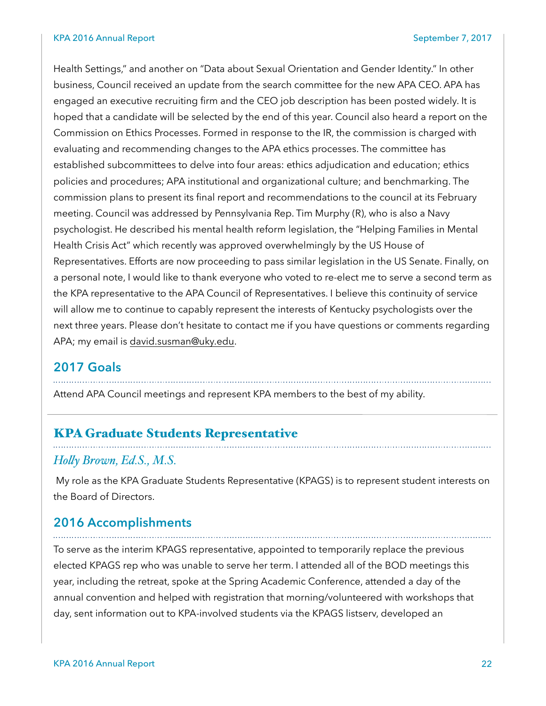#### KPA 2016 Annual Report September 7, 2017

Health Settings," and another on "Data about Sexual Orientation and Gender Identity." In other business, Council received an update from the search committee for the new APA CEO. APA has engaged an executive recruiting firm and the CEO job description has been posted widely. It is hoped that a candidate will be selected by the end of this year. Council also heard a report on the Commission on Ethics Processes. Formed in response to the IR, the commission is charged with evaluating and recommending changes to the APA ethics processes. The committee has established subcommittees to delve into four areas: ethics adjudication and education; ethics policies and procedures; APA institutional and organizational culture; and benchmarking. The commission plans to present its final report and recommendations to the council at its February meeting. Council was addressed by Pennsylvania Rep. Tim Murphy (R), who is also a Navy psychologist. He described his mental health reform legislation, the "Helping Families in Mental Health Crisis Act" which recently was approved overwhelmingly by the US House of Representatives. Efforts are now proceeding to pass similar legislation in the US Senate. Finally, on a personal note, I would like to thank everyone who voted to re-elect me to serve a second term as the KPA representative to the APA Council of Representatives. I believe this continuity of service will allow me to continue to capably represent the interests of Kentucky psychologists over the next three years. Please don't hesitate to contact me if you have questions or comments regarding APA; my email is [david.susman@uky.edu.](mailto:david.susman@uky.edu)

#### **2017 Goals**

Attend APA Council meetings and represent KPA members to the best of my ability.

#### KPA Graduate Students Representative

#### *Holy Brown, Ed.S., M.S.*

 My role as the KPA Graduate Students Representative (KPAGS) is to represent student interests on the Board of Directors.

#### **2016 Accomplishments**

To serve as the interim KPAGS representative, appointed to temporarily replace the previous elected KPAGS rep who was unable to serve her term. I attended all of the BOD meetings this year, including the retreat, spoke at the Spring Academic Conference, attended a day of the annual convention and helped with registration that morning/volunteered with workshops that day, sent information out to KPA-involved students via the KPAGS listserv, developed an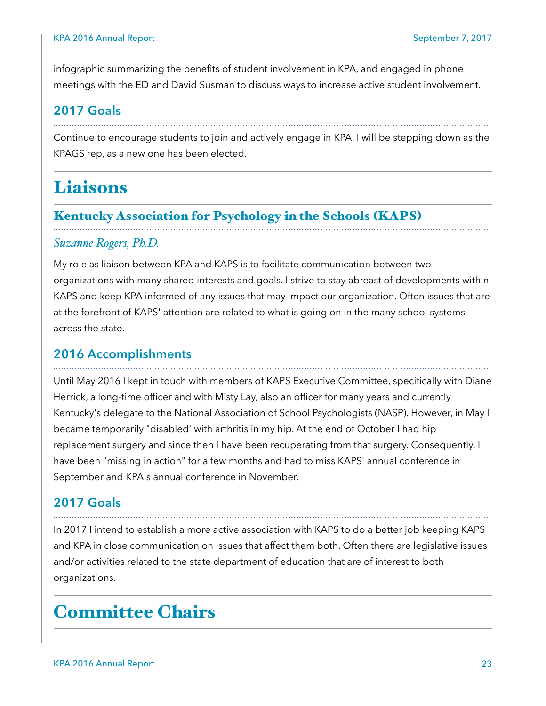infographic summarizing the benefits of student involvement in KPA, and engaged in phone meetings with the ED and David Susman to discuss ways to increase active student involvement.

#### **2017 Goals**

Continue to encourage students to join and actively engage in KPA. I will be stepping down as the KPAGS rep, as a new one has been elected.

# Liaisons

#### Kentucky Association for Psychology in the Schools (KAPS)

#### *Suzanne Rogers, Ph.D.*

My role as liaison between KPA and KAPS is to facilitate communication between two organizations with many shared interests and goals. I strive to stay abreast of developments within KAPS and keep KPA informed of any issues that may impact our organization. Often issues that are at the forefront of KAPS' attention are related to what is going on in the many school systems across the state.

#### **2016 Accomplishments**

Until May 2016 I kept in touch with members of KAPS Executive Committee, specifically with Diane Herrick, a long-time officer and with Misty Lay, also an officer for many years and currently Kentucky's delegate to the National Association of School Psychologists (NASP). However, in May I became temporarily "disabled' with arthritis in my hip. At the end of October I had hip replacement surgery and since then I have been recuperating from that surgery. Consequently, I have been "missing in action" for a few months and had to miss KAPS' annual conference in September and KPA's annual conference in November.

#### **2017 Goals**

In 2017 I intend to establish a more active association with KAPS to do a better job keeping KAPS and KPA in close communication on issues that affect them both. Often there are legislative issues and/or activities related to the state department of education that are of interest to both organizations.

# Committee Chairs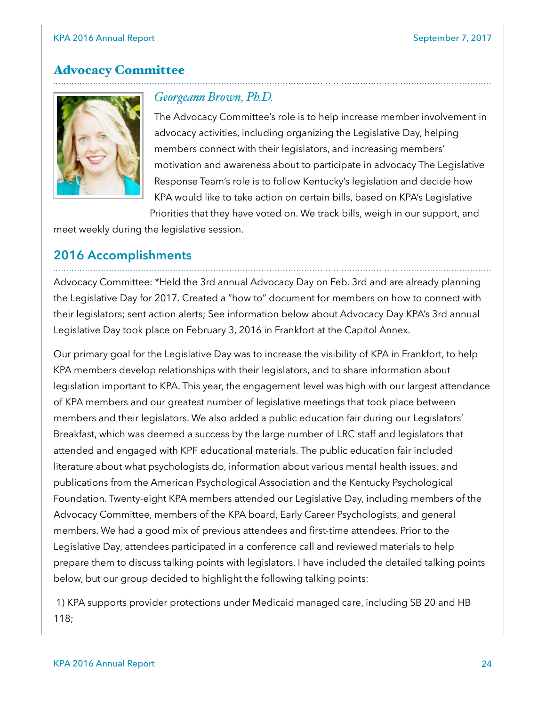#### Advocacy Committee



#### *Georgeann Brown, Ph.D.*

The Advocacy Committee's role is to help increase member involvement in advocacy activities, including organizing the Legislative Day, helping members connect with their legislators, and increasing members' motivation and awareness about to participate in advocacy The Legislative Response Team's role is to follow Kentucky's legislation and decide how KPA would like to take action on certain bills, based on KPA's Legislative

Priorities that they have voted on. We track bills, weigh in our support, and

meet weekly during the legislative session.

#### **2016 Accomplishments**

Advocacy Committee: \*Held the 3rd annual Advocacy Day on Feb. 3rd and are already planning the Legislative Day for 2017. Created a "how to" document for members on how to connect with their legislators; sent action alerts; See information below about Advocacy Day KPA's 3rd annual Legislative Day took place on February 3, 2016 in Frankfort at the Capitol Annex.

Our primary goal for the Legislative Day was to increase the visibility of KPA in Frankfort, to help KPA members develop relationships with their legislators, and to share information about legislation important to KPA. This year, the engagement level was high with our largest attendance of KPA members and our greatest number of legislative meetings that took place between members and their legislators. We also added a public education fair during our Legislators' Breakfast, which was deemed a success by the large number of LRC staff and legislators that attended and engaged with KPF educational materials. The public education fair included literature about what psychologists do, information about various mental health issues, and publications from the American Psychological Association and the Kentucky Psychological Foundation. Twenty-eight KPA members attended our Legislative Day, including members of the Advocacy Committee, members of the KPA board, Early Career Psychologists, and general members. We had a good mix of previous attendees and first-time attendees. Prior to the Legislative Day, attendees participated in a conference call and reviewed materials to help prepare them to discuss talking points with legislators. I have included the detailed talking points below, but our group decided to highlight the following talking points:

 1) KPA supports provider protections under Medicaid managed care, including SB 20 and HB 118;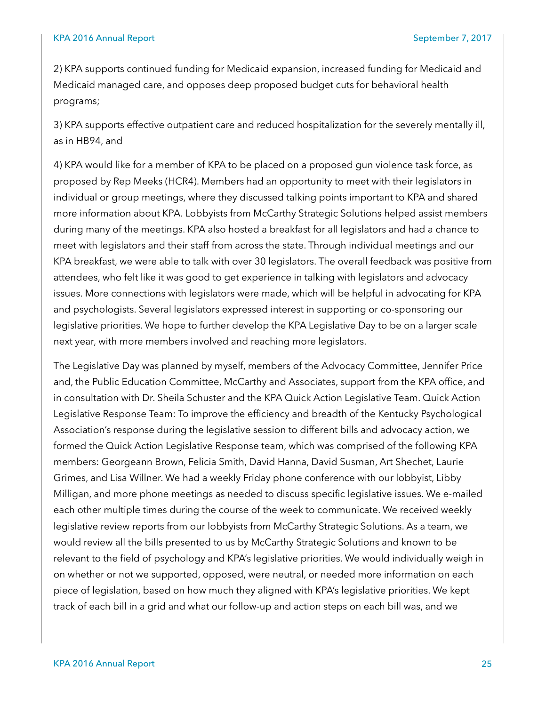2) KPA supports continued funding for Medicaid expansion, increased funding for Medicaid and Medicaid managed care, and opposes deep proposed budget cuts for behavioral health programs;

3) KPA supports effective outpatient care and reduced hospitalization for the severely mentally ill, as in HB94, and

4) KPA would like for a member of KPA to be placed on a proposed gun violence task force, as proposed by Rep Meeks (HCR4). Members had an opportunity to meet with their legislators in individual or group meetings, where they discussed talking points important to KPA and shared more information about KPA. Lobbyists from McCarthy Strategic Solutions helped assist members during many of the meetings. KPA also hosted a breakfast for all legislators and had a chance to meet with legislators and their staff from across the state. Through individual meetings and our KPA breakfast, we were able to talk with over 30 legislators. The overall feedback was positive from attendees, who felt like it was good to get experience in talking with legislators and advocacy issues. More connections with legislators were made, which will be helpful in advocating for KPA and psychologists. Several legislators expressed interest in supporting or co-sponsoring our legislative priorities. We hope to further develop the KPA Legislative Day to be on a larger scale next year, with more members involved and reaching more legislators.

The Legislative Day was planned by myself, members of the Advocacy Committee, Jennifer Price and, the Public Education Committee, McCarthy and Associates, support from the KPA office, and in consultation with Dr. Sheila Schuster and the KPA Quick Action Legislative Team. Quick Action Legislative Response Team: To improve the efficiency and breadth of the Kentucky Psychological Association's response during the legislative session to different bills and advocacy action, we formed the Quick Action Legislative Response team, which was comprised of the following KPA members: Georgeann Brown, Felicia Smith, David Hanna, David Susman, Art Shechet, Laurie Grimes, and Lisa Willner. We had a weekly Friday phone conference with our lobbyist, Libby Milligan, and more phone meetings as needed to discuss specific legislative issues. We e-mailed each other multiple times during the course of the week to communicate. We received weekly legislative review reports from our lobbyists from McCarthy Strategic Solutions. As a team, we would review all the bills presented to us by McCarthy Strategic Solutions and known to be relevant to the field of psychology and KPA's legislative priorities. We would individually weigh in on whether or not we supported, opposed, were neutral, or needed more information on each piece of legislation, based on how much they aligned with KPA's legislative priorities. We kept track of each bill in a grid and what our follow-up and action steps on each bill was, and we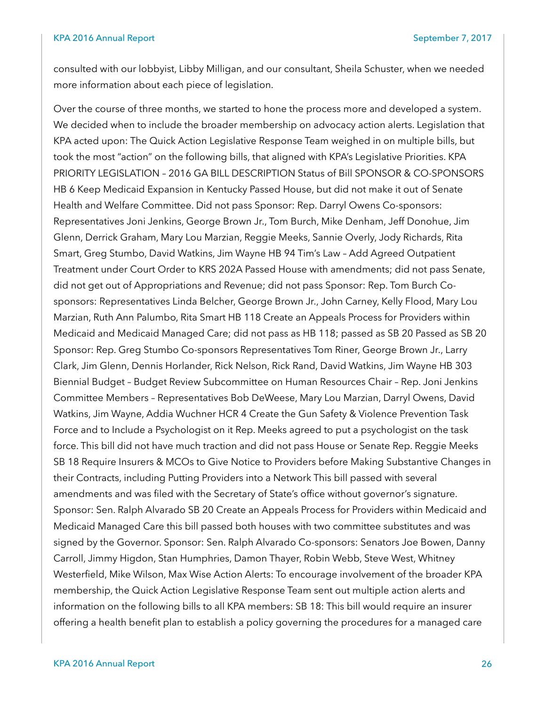#### KPA 2016 Annual Report September 7, 2017

consulted with our lobbyist, Libby Milligan, and our consultant, Sheila Schuster, when we needed more information about each piece of legislation.

Over the course of three months, we started to hone the process more and developed a system. We decided when to include the broader membership on advocacy action alerts. Legislation that KPA acted upon: The Quick Action Legislative Response Team weighed in on multiple bills, but took the most "action" on the following bills, that aligned with KPA's Legislative Priorities. KPA PRIORITY LEGISLATION – 2016 GA BILL DESCRIPTION Status of Bill SPONSOR & CO-SPONSORS HB 6 Keep Medicaid Expansion in Kentucky Passed House, but did not make it out of Senate Health and Welfare Committee. Did not pass Sponsor: Rep. Darryl Owens Co-sponsors: Representatives Joni Jenkins, George Brown Jr., Tom Burch, Mike Denham, Jeff Donohue, Jim Glenn, Derrick Graham, Mary Lou Marzian, Reggie Meeks, Sannie Overly, Jody Richards, Rita Smart, Greg Stumbo, David Watkins, Jim Wayne HB 94 Tim's Law – Add Agreed Outpatient Treatment under Court Order to KRS 202A Passed House with amendments; did not pass Senate, did not get out of Appropriations and Revenue; did not pass Sponsor: Rep. Tom Burch Cosponsors: Representatives Linda Belcher, George Brown Jr., John Carney, Kelly Flood, Mary Lou Marzian, Ruth Ann Palumbo, Rita Smart HB 118 Create an Appeals Process for Providers within Medicaid and Medicaid Managed Care; did not pass as HB 118; passed as SB 20 Passed as SB 20 Sponsor: Rep. Greg Stumbo Co-sponsors Representatives Tom Riner, George Brown Jr., Larry Clark, Jim Glenn, Dennis Horlander, Rick Nelson, Rick Rand, David Watkins, Jim Wayne HB 303 Biennial Budget – Budget Review Subcommittee on Human Resources Chair – Rep. Joni Jenkins Committee Members – Representatives Bob DeWeese, Mary Lou Marzian, Darryl Owens, David Watkins, Jim Wayne, Addia Wuchner HCR 4 Create the Gun Safety & Violence Prevention Task Force and to Include a Psychologist on it Rep. Meeks agreed to put a psychologist on the task force. This bill did not have much traction and did not pass House or Senate Rep. Reggie Meeks SB 18 Require Insurers & MCOs to Give Notice to Providers before Making Substantive Changes in their Contracts, including Putting Providers into a Network This bill passed with several amendments and was filed with the Secretary of State's office without governor's signature. Sponsor: Sen. Ralph Alvarado SB 20 Create an Appeals Process for Providers within Medicaid and Medicaid Managed Care this bill passed both houses with two committee substitutes and was signed by the Governor. Sponsor: Sen. Ralph Alvarado Co-sponsors: Senators Joe Bowen, Danny Carroll, Jimmy Higdon, Stan Humphries, Damon Thayer, Robin Webb, Steve West, Whitney Westerfield, Mike Wilson, Max Wise Action Alerts: To encourage involvement of the broader KPA membership, the Quick Action Legislative Response Team sent out multiple action alerts and information on the following bills to all KPA members: SB 18: This bill would require an insurer offering a health benefit plan to establish a policy governing the procedures for a managed care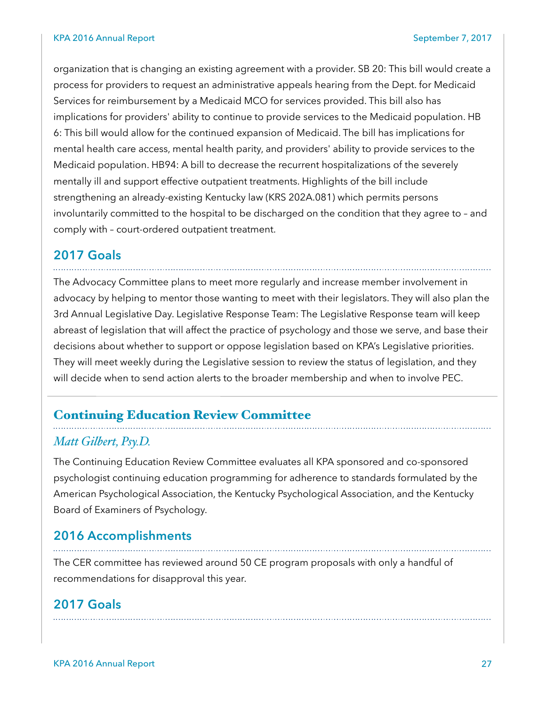organization that is changing an existing agreement with a provider. SB 20: This bill would create a process for providers to request an administrative appeals hearing from the Dept. for Medicaid Services for reimbursement by a Medicaid MCO for services provided. This bill also has implications for providers' ability to continue to provide services to the Medicaid population. HB 6: This bill would allow for the continued expansion of Medicaid. The bill has implications for mental health care access, mental health parity, and providers' ability to provide services to the Medicaid population. HB94: A bill to decrease the recurrent hospitalizations of the severely mentally ill and support effective outpatient treatments. Highlights of the bill include strengthening an already-existing Kentucky law (KRS 202A.081) which permits persons involuntarily committed to the hospital to be discharged on the condition that they agree to – and comply with – court-ordered outpatient treatment.

#### **2017 Goals**

The Advocacy Committee plans to meet more regularly and increase member involvement in advocacy by helping to mentor those wanting to meet with their legislators. They will also plan the 3rd Annual Legislative Day. Legislative Response Team: The Legislative Response team will keep abreast of legislation that will affect the practice of psychology and those we serve, and base their decisions about whether to support or oppose legislation based on KPA's Legislative priorities. They will meet weekly during the Legislative session to review the status of legislation, and they will decide when to send action alerts to the broader membership and when to involve PEC.

#### Continuing Education Review Committee

#### *Matt Gilbert, Psy.D.*

The Continuing Education Review Committee evaluates all KPA sponsored and co-sponsored psychologist continuing education programming for adherence to standards formulated by the American Psychological Association, the Kentucky Psychological Association, and the Kentucky Board of Examiners of Psychology.

#### **2016 Accomplishments**

The CER committee has reviewed around 50 CE program proposals with only a handful of recommendations for disapproval this year.

#### **2017 Goals**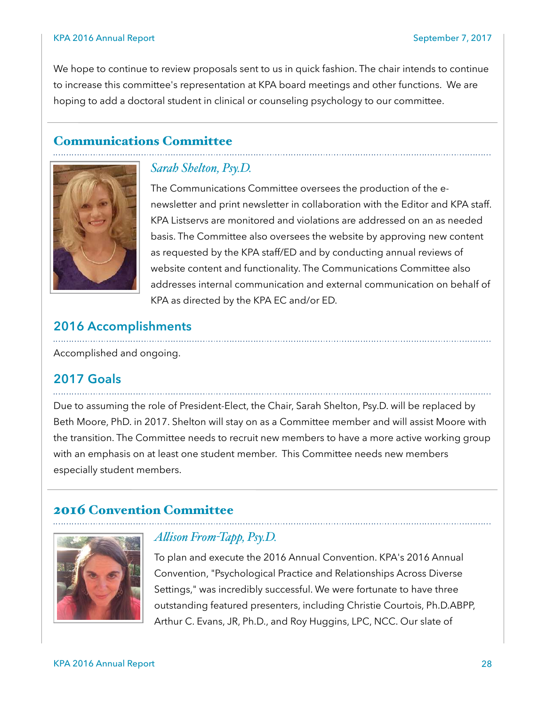We hope to continue to review proposals sent to us in quick fashion. The chair intends to continue to increase this committee's representation at KPA board meetings and other functions. We are hoping to add a doctoral student in clinical or counseling psychology to our committee.

#### Communications Committee



#### *Sarah Shelton, Psy.D.*

The Communications Committee oversees the production of the enewsletter and print newsletter in collaboration with the Editor and KPA staff. KPA Listservs are monitored and violations are addressed on an as needed basis. The Committee also oversees the website by approving new content as requested by the KPA staff/ED and by conducting annual reviews of website content and functionality. The Communications Committee also addresses internal communication and external communication on behalf of KPA as directed by the KPA EC and/or ED.

#### **2016 Accomplishments**

Accomplished and ongoing.

#### **2017 Goals**

Due to assuming the role of President-Elect, the Chair, Sarah Shelton, Psy.D. will be replaced by Beth Moore, PhD. in 2017. Shelton will stay on as a Committee member and will assist Moore with the transition. The Committee needs to recruit new members to have a more active working group with an emphasis on at least one student member. This Committee needs new members especially student members.

# 2016 Convention Committee



#### *Alison From-Tapp, Psy.D.*

To plan and execute the 2016 Annual Convention. KPA's 2016 Annual Convention, "Psychological Practice and Relationships Across Diverse Settings," was incredibly successful. We were fortunate to have three outstanding featured presenters, including Christie Courtois, Ph.D.ABPP, Arthur C. Evans, JR, Ph.D., and Roy Huggins, LPC, NCC. Our slate of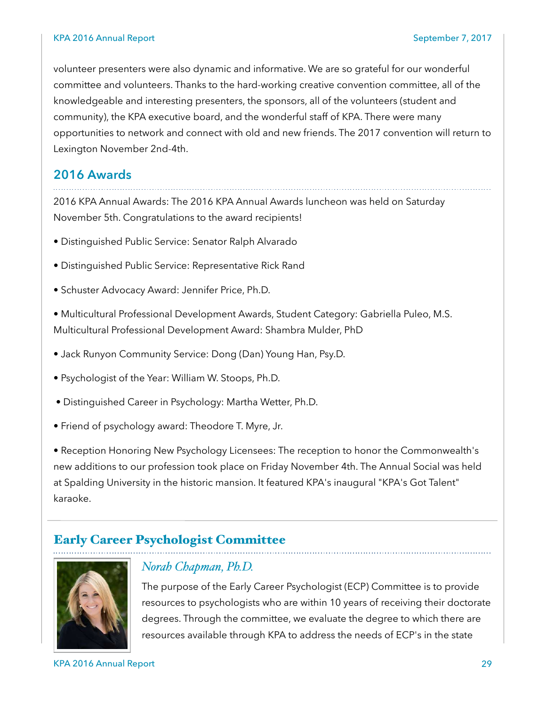volunteer presenters were also dynamic and informative. We are so grateful for our wonderful committee and volunteers. Thanks to the hard-working creative convention committee, all of the knowledgeable and interesting presenters, the sponsors, all of the volunteers (student and community), the KPA executive board, and the wonderful staff of KPA. There were many opportunities to network and connect with old and new friends. The 2017 convention will return to Lexington November 2nd-4th.

#### **2016 Awards**

2016 KPA Annual Awards: The 2016 KPA Annual Awards luncheon was held on Saturday November 5th. Congratulations to the award recipients!

- Distinguished Public Service: Senator Ralph Alvarado
- Distinguished Public Service: Representative Rick Rand
- Schuster Advocacy Award: Jennifer Price, Ph.D.

• Multicultural Professional Development Awards, Student Category: Gabriella Puleo, M.S. Multicultural Professional Development Award: Shambra Mulder, PhD

- Jack Runyon Community Service: Dong (Dan) Young Han, Psy.D.
- Psychologist of the Year: William W. Stoops, Ph.D.
- Distinguished Career in Psychology: Martha Wetter, Ph.D.
- Friend of psychology award: Theodore T. Myre, Jr.

• Reception Honoring New Psychology Licensees: The reception to honor the Commonwealth's new additions to our profession took place on Friday November 4th. The Annual Social was held at Spalding University in the historic mansion. It featured KPA's inaugural "KPA's Got Talent" karaoke.

#### Early Career Psychologist Committee



#### *Norah Chapman, Ph.D.*

The purpose of the Early Career Psychologist (ECP) Committee is to provide resources to psychologists who are within 10 years of receiving their doctorate degrees. Through the committee, we evaluate the degree to which there are resources available through KPA to address the needs of ECP's in the state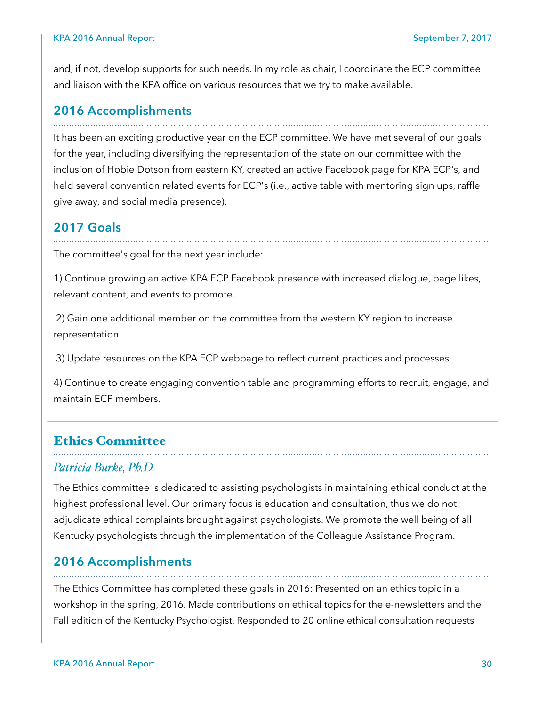and, if not, develop supports for such needs. In my role as chair, I coordinate the ECP committee and liaison with the KPA office on various resources that we try to make available.

# **2016 Accomplishments**

It has been an exciting productive year on the ECP committee. We have met several of our goals for the year, including diversifying the representation of the state on our committee with the inclusion of Hobie Dotson from eastern KY, created an active Facebook page for KPA ECP's, and held several convention related events for ECP's (i.e., active table with mentoring sign ups, raffle give away, and social media presence).

#### **2017 Goals**

The committee's goal for the next year include:

1) Continue growing an active KPA ECP Facebook presence with increased dialogue, page likes, relevant content, and events to promote.

 2) Gain one additional member on the committee from the western KY region to increase representation.

3) Update resources on the KPA ECP webpage to reflect current practices and processes.

4) Continue to create engaging convention table and programming efforts to recruit, engage, and maintain ECP members.

#### Ethics Committee

#### *Patricia Burke, Ph.D.*

The Ethics committee is dedicated to assisting psychologists in maintaining ethical conduct at the highest professional level. Our primary focus is education and consultation, thus we do not adjudicate ethical complaints brought against psychologists. We promote the well being of all Kentucky psychologists through the implementation of the Colleague Assistance Program.

#### **2016 Accomplishments**

The Ethics Committee has completed these goals in 2016: Presented on an ethics topic in a workshop in the spring, 2016. Made contributions on ethical topics for the e-newsletters and the Fall edition of the Kentucky Psychologist. Responded to 20 online ethical consultation requests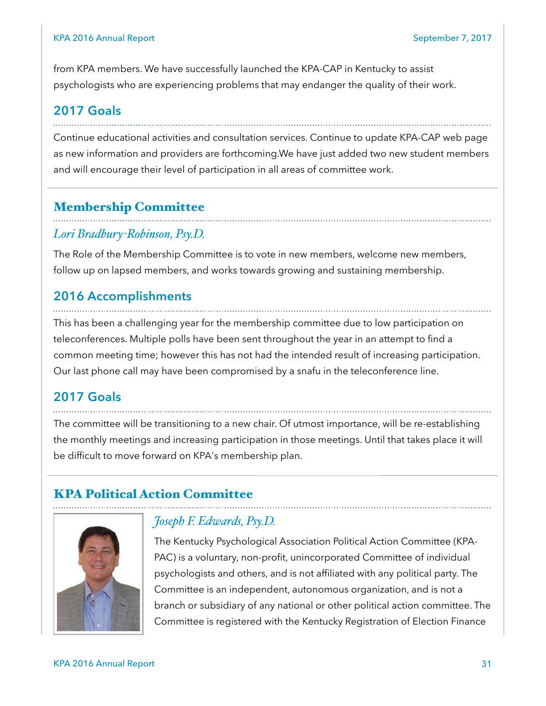from KPA members. We have successfully launched the KPA-CAP in Kentucky to assist psychologists who are experiencing problems that may endanger the quality of their work.

## **2017 Goals**

Continue educational activities and consultation services. Continue to update KPA-CAP web page as new information and providers are forthcoming.We have just added two new student members and will encourage their level of participation in all areas of committee work.

#### Membership Committee

#### *Lori Bradbury-Robinson, Psy.D.*

The Role of the Membership Committee is to vote in new members, welcome new members, follow up on lapsed members, and works towards growing and sustaining membership.

#### **2016 Accomplishments**

This has been a challenging year for the membership committee due to low participation on teleconferences. Multiple polls have been sent throughout the year in an attempt to find a common meeting time; however this has not had the intended result of increasing participation. Our last phone call may have been compromised by a snafu in the teleconference line.

# **2017 Goals**

The committee will be transitioning to a new chair. Of utmost importance, will be re-establishing the monthly meetings and increasing participation in those meetings. Until that takes place it will be difficult to move forward on KPA's membership plan.

# KPA Political Action Committee



#### *Joseph F. Edwards, Psy.D.*

The Kentucky Psychological Association Political Action Committee (KPA-PAC) is a voluntary, non-profit, unincorporated Committee of individual psychologists and others, and is not affiliated with any political party. The Committee is an independent, autonomous organization, and is not a branch or subsidiary of any national or other political action committee. The Committee is registered with the Kentucky Registration of Election Finance